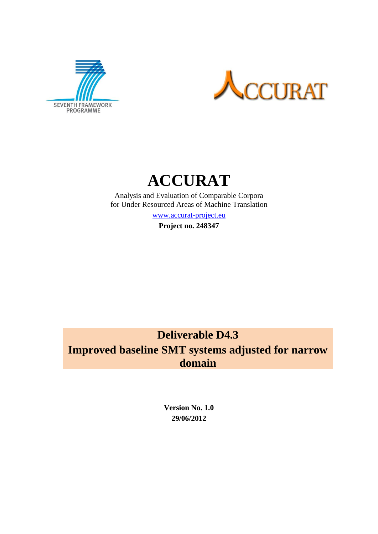





Analysis and Evaluation of Comparable Corpora for Under Resourced Areas of Machine Translation

[www.accurat-project.eu](http://www.accurat-project.eu/)

**Project no. 248347**

# **Deliverable D4.3**

**Improved baseline SMT systems adjusted for narrow domain**

> **Version No. 1.0 29/06/2012**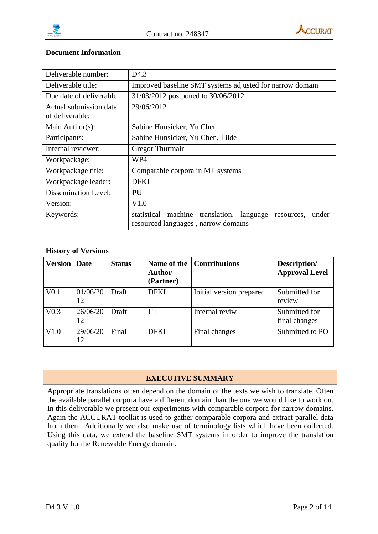



#### **Document Information**

| Deliverable number:                       | D <sub>4.3</sub>                                                                                                  |  |  |  |
|-------------------------------------------|-------------------------------------------------------------------------------------------------------------------|--|--|--|
| Deliverable title:                        | Improved baseline SMT systems adjusted for narrow domain                                                          |  |  |  |
| Due date of deliverable:                  | 31/03/2012 postponed to 30/06/2012                                                                                |  |  |  |
| Actual submission date<br>of deliverable: | 29/06/2012                                                                                                        |  |  |  |
| Main Author(s):                           | Sabine Hunsicker, Yu Chen                                                                                         |  |  |  |
| Participants:                             | Sabine Hunsicker, Yu Chen, Tilde                                                                                  |  |  |  |
| Internal reviewer:                        | Gregor Thurmair                                                                                                   |  |  |  |
| Workpackage:                              | WP4                                                                                                               |  |  |  |
| Workpackage title:                        | Comparable corpora in MT systems                                                                                  |  |  |  |
| Workpackage leader:                       | <b>DFKI</b>                                                                                                       |  |  |  |
| <b>Dissemination Level:</b>               | PU                                                                                                                |  |  |  |
| Version:                                  | V1.0                                                                                                              |  |  |  |
| Keywords:                                 | statistical<br>machine<br>translation,<br>under-<br>language<br>resources.<br>resourced languages, narrow domains |  |  |  |

#### **History of Versions**

| <b>Version   Date</b> |                | <b>Status</b> | <b>Author</b><br>(Partner) | Name of the Contributions | Description/<br><b>Approval Level</b> |
|-----------------------|----------------|---------------|----------------------------|---------------------------|---------------------------------------|
| V <sub>0.1</sub>      | 01/06/20<br>12 | Draft         | <b>DFKI</b>                | Initial version prepared  | Submitted for<br>review               |
| V <sub>0.3</sub>      | 26/06/20<br>12 | Draft         | <b>LT</b>                  | Internal reviw            | Submitted for<br>final changes        |
| V1.0                  | 29/06/20<br>12 | Final         | <b>DFKI</b>                | Final changes             | Submitted to PO                       |

#### **EXECUTIVE SUMMARY**

Appropriate translations often depend on the domain of the texts we wish to translate. Often the available parallel corpora have a different domain than the one we would like to work on. In this deliverable we present our experiments with comparable corpora for narrow domains. Again the ACCURAT toolkit is used to gather comparable corpora and extract parallel data from them. Additionally we also make use of terminology lists which have been collected. Using this data, we extend the baseline SMT systems in order to improve the translation quality for the Renewable Energy domain.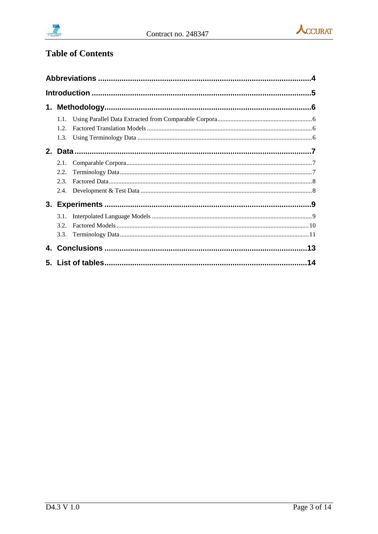



# **Table of Contents**

| 1.1. |  |
|------|--|
| 1.2. |  |
| 1.3. |  |
|      |  |
| 2.1. |  |
| 2.2. |  |
| 2.3. |  |
| 2.4. |  |
|      |  |
| 3.1. |  |
| 3.2. |  |
| 3.3. |  |
|      |  |
|      |  |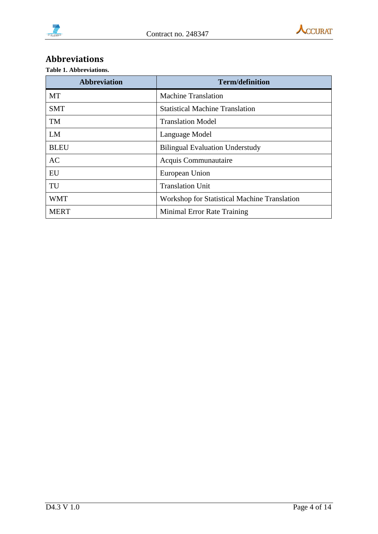

## <span id="page-3-0"></span>**Abbreviations**

**Table 1. Abbreviations.**

| <b>Abbreviation</b> | <b>Term/definition</b>                              |  |  |
|---------------------|-----------------------------------------------------|--|--|
| <b>MT</b>           | <b>Machine Translation</b>                          |  |  |
| <b>SMT</b>          | <b>Statistical Machine Translation</b>              |  |  |
| <b>TM</b>           | <b>Translation Model</b>                            |  |  |
| LM                  | Language Model                                      |  |  |
| <b>BLEU</b>         | <b>Bilingual Evaluation Understudy</b>              |  |  |
| AC                  | Acquis Communautaire                                |  |  |
| EU                  | European Union                                      |  |  |
| TU                  | <b>Translation Unit</b>                             |  |  |
| <b>WMT</b>          | <b>Workshop for Statistical Machine Translation</b> |  |  |
| <b>MERT</b>         | Minimal Error Rate Training                         |  |  |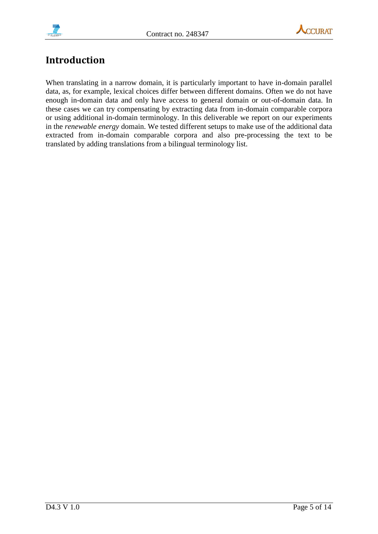



# <span id="page-4-0"></span>**Introduction**

When translating in a narrow domain, it is particularly important to have in-domain parallel data, as, for example, lexical choices differ between different domains. Often we do not have enough in-domain data and only have access to general domain or out-of-domain data. In these cases we can try compensating by extracting data from in-domain comparable corpora or using additional in-domain terminology. In this deliverable we report on our experiments in the *renewable energy* domain. We tested different setups to make use of the additional data extracted from in-domain comparable corpora and also pre-processing the text to be translated by adding translations from a bilingual terminology list.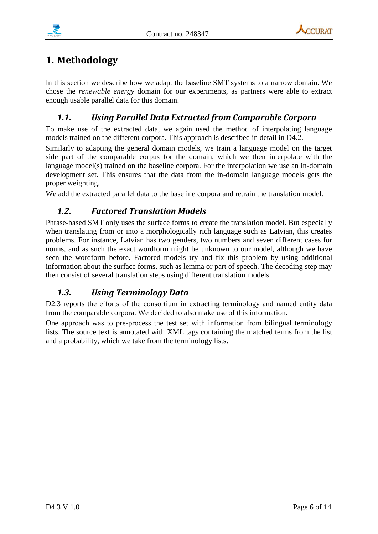



# <span id="page-5-0"></span>**1. Methodology**

In this section we describe how we adapt the baseline SMT systems to a narrow domain. We chose the *renewable energy* domain for our experiments, as partners were able to extract enough usable parallel data for this domain.

## <span id="page-5-1"></span>*1.1. Using Parallel Data Extracted from Comparable Corpora*

To make use of the extracted data, we again used the method of interpolating language models trained on the different corpora. This approach is described in detail in D4.2.

Similarly to adapting the general domain models, we train a language model on the target side part of the comparable corpus for the domain, which we then interpolate with the language model(s) trained on the baseline corpora. For the interpolation we use an in-domain development set. This ensures that the data from the in-domain language models gets the proper weighting.

<span id="page-5-2"></span>We add the extracted parallel data to the baseline corpora and retrain the translation model.

## *1.2. Factored Translation Models*

Phrase-based SMT only uses the surface forms to create the translation model. But especially when translating from or into a morphologically rich language such as Latvian, this creates problems. For instance, Latvian has two genders, two numbers and seven different cases for nouns, and as such the exact wordform might be unknown to our model, although we have seen the wordform before. Factored models try and fix this problem by using additional information about the surface forms, such as lemma or part of speech. The decoding step may then consist of several translation steps using different translation models.

## <span id="page-5-3"></span>*1.3. Using Terminology Data*

D2.3 reports the efforts of the consortium in extracting terminology and named entity data from the comparable corpora. We decided to also make use of this information.

One approach was to pre-process the test set with information from bilingual terminology lists. The source text is annotated with XML tags containing the matched terms from the list and a probability, which we take from the terminology lists.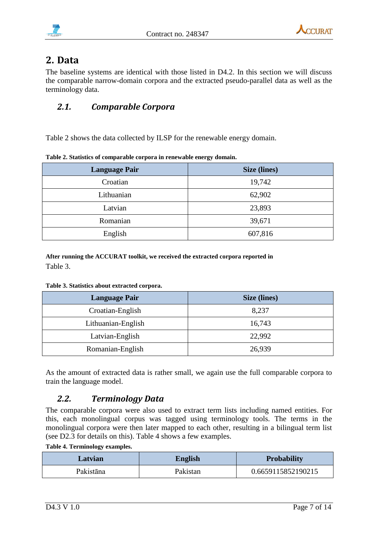



# <span id="page-6-0"></span>**2. Data**

The baseline systems are identical with those listed in D4.2. In this section we will discuss the comparable narrow-domain corpora and the extracted pseudo-parallel data as well as the terminology data.

#### <span id="page-6-1"></span>*2.1. Comparable Corpora*

[Table 2](#page-6-3) shows the data collected by ILSP for the renewable energy domain.

| <b>Language Pair</b> | Size (lines) |
|----------------------|--------------|
| Croatian             | 19,742       |
| Lithuanian           | 62,902       |
| Latvian              | 23,893       |
| Romanian             | 39,671       |
| English              | 607,816      |

<span id="page-6-3"></span>**Table 2. Statistics of comparable corpora in renewable energy domain.**

**After running the ACCURAT toolkit, we received the extracted corpora reported i[n](#page-6-4)**  [Table 3.](#page-6-4)

<span id="page-6-4"></span>**Table 3. Statistics about extracted corpora.**

| <b>Language Pair</b> | <b>Size (lines)</b> |
|----------------------|---------------------|
| Croatian-English     | 8,237               |
| Lithuanian-English   | 16,743              |
| Latvian-English      | 22,992              |
| Romanian-English     | 26,939              |

As the amount of extracted data is rather small, we again use the full comparable corpora to train the language model.

## <span id="page-6-2"></span>*2.2. Terminology Data*

The comparable corpora were also used to extract term lists including named entities. For this, each monolingual corpus was tagged using terminology tools. The terms in the monolingual corpora were then later mapped to each other, resulting in a bilingual term list (see D2.3 for details on this). [Table 4](#page-6-5) shows a few examples.

<span id="page-6-5"></span>**Table 4. Terminology examples.**

| Latvian   | <b>English</b> | <b>Probability</b> |  |
|-----------|----------------|--------------------|--|
| Pakistāna | Pakistan       | 0.6659115852190215 |  |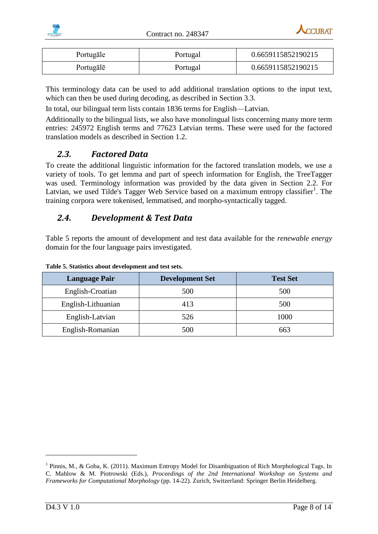



| Portugale | Portugal | 0.6659115852190215 |  |
|-----------|----------|--------------------|--|
| Portugale | Portugal | 0.6659115852190215 |  |

This terminology data can be used to add additional translation options to the input text, which can then be used during decoding, as described in Section [3.3.](#page-10-0)

In total, our bilingual term lists contain 1836 terms for English—Latvian.

Additionally to the bilingual lists, we also have monolingual lists concerning many more term entries: 245972 English terms and 77623 Latvian terms. These were used for the factored translation models as described in Section [1.2.](#page-5-2)

#### <span id="page-7-0"></span>*2.3. Factored Data*

To create the additional linguistic information for the factored translation models, we use a variety of tools. To get lemma and part of speech information for English, the TreeTagger was used. Terminology information was provided by the data given in Section [2.2.](#page-6-2) For Latvian, we used Tilde's Tagger Web Service based on a maximum entropy classifier<sup>1</sup>. The training corpora were tokenised, lemmatised, and morpho-syntactically tagged.

#### <span id="page-7-1"></span>*2.4. Development & Test Data*

[Table 5](#page-7-2) reports the amount of development and test data available for the *renewable energy* domain for the four language pairs investigated.

| <b>Language Pair</b> | <b>Development Set</b> | <b>Test Set</b> |
|----------------------|------------------------|-----------------|
| English-Croatian     | 500                    | 500             |
| English-Lithuanian   | 413                    | 500             |
| English-Latvian      | 526                    | 1000            |
| English-Romanian     | 500                    | 663             |

<span id="page-7-2"></span>**Table 5. Statistics about development and test sets.**

<u>.</u>

<sup>&</sup>lt;sup>1</sup> Pinnis, M., & Goba, K. (2011). Maximum Entropy Model for Disambiguation of Rich Morphological Tags. In C. Mahlow & M. Piotrowski (Eds.), *Proceedings of the 2nd International Workshop on Systems and Frameworks for Computational Morphology* (pp. 14-22). Zurich, Switzerland: Springer Berlin Heidelberg.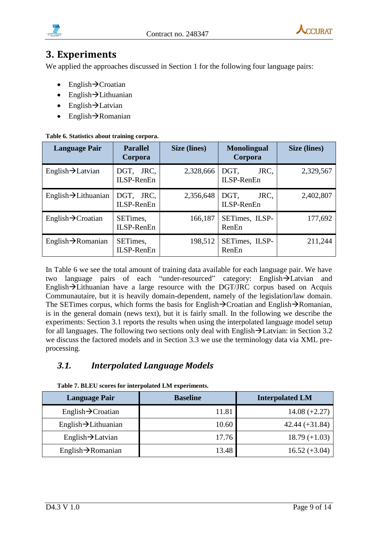



# <span id="page-8-0"></span>**3. Experiments**

We applied the approaches discussed in Section [1](#page-5-0) for the following four language pairs:

- $English \rightarrow$ Croatian
- $\bullet$  English $\rightarrow$ Lithuanian
- $\bullet$  English $\rightarrow$ Latvian
- $\bullet$  English $\rightarrow$ Romanian

#### <span id="page-8-2"></span>**Table 6. Statistics about training corpora.**

| <b>Language Pair</b>             | <b>Parallel</b><br>Corpora     | Size (lines) | <b>Monolingual</b><br>Corpora | Size (lines) |
|----------------------------------|--------------------------------|--------------|-------------------------------|--------------|
| English $\rightarrow$ Latvian    | DGT, JRC,<br>ILSP-RenEn        | 2,328,666    | JRC,<br>DGT,<br>ILSP-RenEn    | 2,329,567    |
| English $\rightarrow$ Lithuanian | DGT, JRC,<br><b>ILSP-RenEn</b> | 2,356,648    | JRC,<br>DGT,<br>ILSP-RenEn    | 2,402,807    |
| English $\rightarrow$ Croatian   | SETimes,<br>ILSP-RenEn         | 166,187      | SETimes, ILSP-<br>RenEn       | 177,692      |
| English $\rightarrow$ Romanian   | SETimes,<br>ILSP-RenEn         | 198,512      | SETimes, ILSP-<br>RenEn       | 211,244      |

In [Table 6](#page-8-2) we see the total amount of training data available for each language pair. We have two language pairs of each "under-resourced" category: English->Latvian and English $\rightarrow$ Lithuanian have a large resource with the DGT/JRC corpus based on Acquis Communautaire, but it is heavily domain-dependent, namely of the legislation/law domain. The SETimes corpus, which forms the basis for English $\rightarrow$ Croatian and English $\rightarrow$ Romanian, is in the general domain (news text), but it is fairly small. In the following we describe the experiments: Section [3.1](#page-8-1) reports the results when using the interpolated language model setup for all languages. The following two sections only deal with English $\rightarrow$ Latvian: in Section [3.2](#page-9-0) we discuss the factored models and in Section [3.3](#page-10-0) we use the terminology data via XML preprocessing.

## <span id="page-8-1"></span>*3.1. Interpolated Language Models*

| <b>Language Pair</b>             | <b>Baseline</b> | <b>Interpolated LM</b> |  |  |
|----------------------------------|-----------------|------------------------|--|--|
| English $\rightarrow$ Croatian   | 11.81           | $14.08 (+2.27)$        |  |  |
| $English \rightarrow Lithuanian$ | 10.60           | $42.44 (+31.84)$       |  |  |
| English $\rightarrow$ Latvian    | 17.76           | $18.79 (+1.03)$        |  |  |
| English $\rightarrow$ Romanian   | 13.48           | $16.52 (+3.04)$        |  |  |

<span id="page-8-3"></span>**Table 7. BLEU scores for interpolated LM experiments.**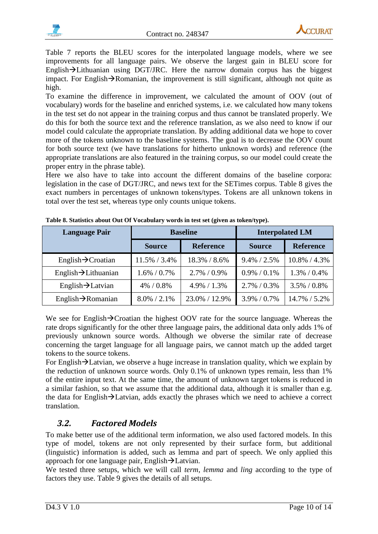

[Table 7](#page-8-3) reports the BLEU scores for the interpolated language models, where we see improvements for all language pairs. We observe the largest gain in BLEU score for English $\rightarrow$ Lithuanian using DGT/JRC. Here the narrow domain corpus has the biggest impact. For English $\rightarrow$ Romanian, the improvement is still significant, although not quite as high.

To examine the difference in improvement, we calculated the amount of OOV (out of vocabulary) words for the baseline and enriched systems, i.e. we calculated how many tokens in the test set do not appear in the training corpus and thus cannot be translated properly. We do this for both the source text and the reference translation, as we also need to know if our model could calculate the appropriate translation. By adding additional data we hope to cover more of the tokens unknown to the baseline systems. The goal is to decrease the OOV count for both source text (we have translations for hitherto unknown words) and reference (the appropriate translations are also featured in the training corpus, so our model could create the proper entry in the phrase table).

Here we also have to take into account the different domains of the baseline corpora: legislation in the case of DGT/JRC, and news text for the SETimes corpus. [Table 8](#page-9-1) gives the exact numbers in percentages of unknown tokens/types. Tokens are all unknown tokens in total over the test set, whereas type only counts unique tokens.

| <b>Language Pair</b>             |                 | <b>Baseline</b>  |                 | <b>Interpolated LM</b> |
|----------------------------------|-----------------|------------------|-----------------|------------------------|
|                                  | <b>Source</b>   | <b>Reference</b> | <b>Source</b>   | <b>Reference</b>       |
| English $\rightarrow$ Croatian   | 11.5% / 3.4%    | 18.3% / 8.6%     | $9.4\% / 2.5\%$ | 10.8% / 4.3%           |
| English $\rightarrow$ Lithuanian | $1.6\% / 0.7\%$ | $2.7\% / 0.9\%$  | $0.9\% / 0.1\%$ | $1.3\% / 0.4\%$        |
| English $\rightarrow$ Latvian    | 4% / 0.8%       | $4.9\% / 1.3\%$  | $2.7\% / 0.3\%$ | $3.5\% / 0.8\%$        |
| English $\rightarrow$ Romanian   | $8.0\%$ / 2.1%  | 23.0% / 12.9%    | $3.9\% / 0.7\%$ | 14.7% / 5.2%           |

<span id="page-9-1"></span>**Table 8. Statistics about Out Of Vocabulary words in test set (given as token/type).**

We see for English $\rightarrow$ Croatian the highest OOV rate for the source language. Whereas the rate drops significantly for the other three language pairs, the additional data only adds 1% of previously unknown source words. Although we obverse the similar rate of decrease concerning the target language for all language pairs, we cannot match up the added target tokens to the source tokens.

For English $\rightarrow$ Latvian, we observe a huge increase in translation quality, which we explain by the reduction of unknown source words. Only 0.1% of unknown types remain, less than 1% of the entire input text. At the same time, the amount of unknown target tokens is reduced in a similar fashion, so that we assume that the additional data, although it is smaller than e.g. the data for English $\rightarrow$ Latvian, adds exactly the phrases which we need to achieve a correct translation.

## <span id="page-9-0"></span>*3.2. Factored Models*

To make better use of the additional term information, we also used factored models. In this type of model, tokens are not only represented by their surface form, but additional (linguistic) information is added, such as lemma and part of speech. We only applied this approach for one language pair, English $\rightarrow$ Latvian.

We tested three setups, which we will call *term*, *lemma* and *ling* according to the type of factors they use. [Table 9](#page-10-1) gives the details of all setups.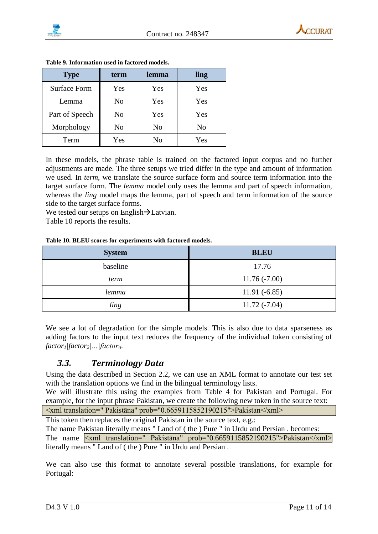

| <b>Type</b>         | term | lemma | ling |
|---------------------|------|-------|------|
| <b>Surface Form</b> | Yes  | Yes   | Yes  |
| Lemma               | No   | Yes   | Yes  |
| Part of Speech      | No   | Yes   | Yes  |
| Morphology          | No   | No    | No   |
| Term                | Yes  | Nο    | Yes  |

<span id="page-10-1"></span>**Table 9. Information used in factored models.**

In these models, the phrase table is trained on the factored input corpus and no further adjustments are made. The three setups we tried differ in the type and amount of information we used. In *term*, we translate the source surface form and source term information into the target surface form. The *lemma* model only uses the lemma and part of speech information, whereas the *ling* model maps the lemma, part of speech and term information of the source side to the target surface forms.

Wetested our setups on English $\rightarrow$ Latvian.

<span id="page-10-2"></span>[Table](#page-10-2) 10 reports the results.

#### **Table 10. BLEU scores for experiments with factored models.**

| <b>System</b> | <b>BLEU</b>    |
|---------------|----------------|
| baseline      | 17.76          |
| term          | $11.76(-7.00)$ |
| lemma         | $11.91(-6.85)$ |
| ling          | $11.72(-7.04)$ |

We see a lot of degradation for the simple models. This is also due to data sparseness as adding factors to the input text reduces the frequency of the individual token consisting of  $factor_1$ *|factor*<sub>2</sub>*|...|factor<sub>n</sub>.* 

#### <span id="page-10-0"></span>*3.3. Terminology Data*

Using the data described in Section [2.2,](#page-6-2) we can use an XML format to annotate our test set with the translation options we find in the bilingual terminology lists.

We will illustrate this using the examples from [Table 4](#page-6-5) for Pakistan and Portugal. For example, for the input phrase Pakistan, we create the following new token in the source text:

<xml translation=" Pakistāna" prob="0.6659115852190215">Pakistan</xml>

This token then replaces the original Pakistan in the source text, e.g.:

The name Pakistan literally means " Land of ( the ) Pure " in Urdu and Persian . becomes: The name  $\langle x$ ml translation=" Pakistāna" prob="0.6659115852190215">Pakistan</xml> literally means " Land of ( the ) Pure " in Urdu and Persian .

We can also use this format to annotate several possible translations, for example for Portugal: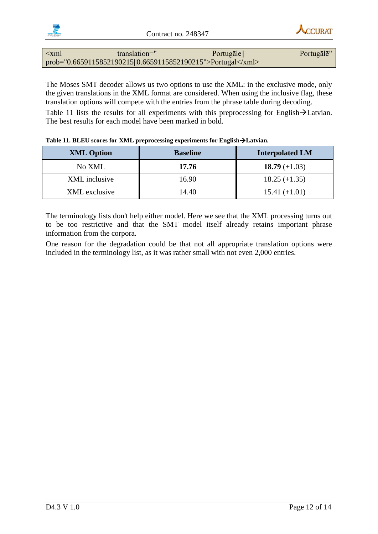

#### <xml translation=" Portugāle|| Portugālē" prob="0.6659115852190215||0.6659115852190215">Portugal</xml>

The Moses SMT decoder allows us two options to use the XML: in the exclusive mode, only the given translations in the XML format are considered. When using the inclusive flag, these translation options will compete with the entries from the phrase table during decoding. [Table](#page-11-0) 11 lists the results for all experiments with this preprocessing for English $\rightarrow$ Latvian. The best results for each model have been marked in bold.

| <b>XML Option</b> | <b>Baseline</b> | <b>Interpolated LM</b> |
|-------------------|-----------------|------------------------|
| No XML            | 17.76           | 18.79 $(+1.03)$        |
| XML inclusive     | 16.90           | $18.25 (+1.35)$        |
| XML exclusive     | 14.40           | $15.41 (+1.01)$        |

<span id="page-11-0"></span>

| Table 11. BLEU scores for XML preprocessing experiments for English > Latvian. |  |  |
|--------------------------------------------------------------------------------|--|--|
|--------------------------------------------------------------------------------|--|--|

The terminology lists don't help either model. Here we see that the XML processing turns out to be too restrictive and that the SMT model itself already retains important phrase information from the corpora.

One reason for the degradation could be that not all appropriate translation options were included in the terminology list, as it was rather small with not even 2,000 entries.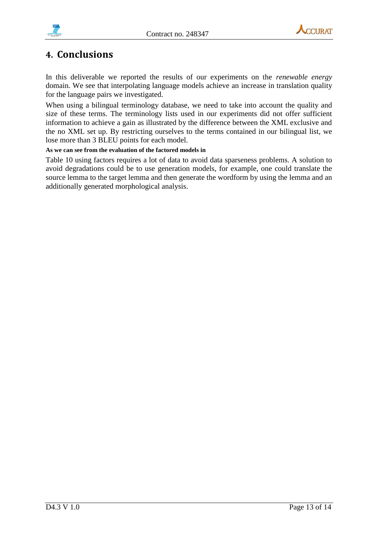





# <span id="page-12-0"></span>**4. Conclusions**

In this deliverable we reported the results of our experiments on the *renewable energy* domain. We see that interpolating language models achieve an increase in translation quality for the language pairs we investigated.

When using a bilingual terminology database, we need to take into account the quality and size of these terms. The terminology lists used in our experiments did not offer sufficient information to achieve a gain as illustrated by the difference between the XML exclusive and the no XML set up. By restricting ourselves to the terms contained in our bilingual list, we lose more than 3 BLEU points for each model.

#### **As we can see from the evaluation of the factored models in**

[Table 10](#page-10-2) using factors requires a lot of data to avoid data sparseness problems. A solution to avoid degradations could be to use generation models, for example, one could translate the source lemma to the target lemma and then generate the wordform by using the lemma and an additionally generated morphological analysis.